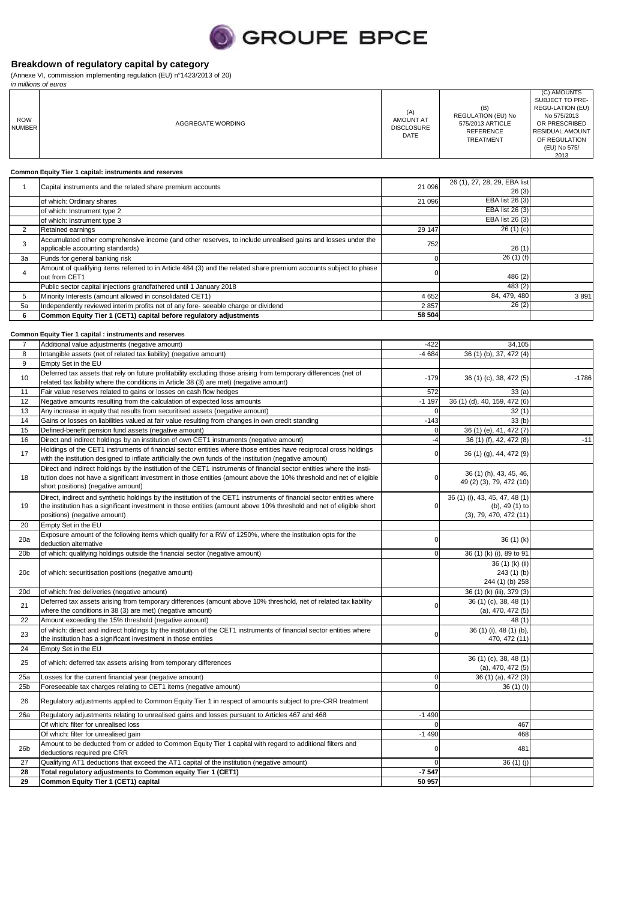

(Annexe VI, commission implementing regulation (EU) n°1423/2013 of 20)

|                             | in millions of euros                                                                                                                                                                                                                                                               |                                                      |                                                                                       |                                                                                                                                                       |
|-----------------------------|------------------------------------------------------------------------------------------------------------------------------------------------------------------------------------------------------------------------------------------------------------------------------------|------------------------------------------------------|---------------------------------------------------------------------------------------|-------------------------------------------------------------------------------------------------------------------------------------------------------|
| <b>ROW</b><br><b>NUMBER</b> | AGGREGATE WORDING                                                                                                                                                                                                                                                                  | (A)<br><b>AMOUNT AT</b><br><b>DISCLOSURE</b><br>DATE | (B)<br>REGULATION (EU) No<br>575/2013 ARTICLE<br><b>REFERENCE</b><br><b>TREATMENT</b> | (C) AMOUNTS<br>SUBJECT TO PRE-<br>REGU-LATION (EU)<br>No 575/2013<br>OR PRESCRIBED<br><b>RESIDUAL AMOUNT</b><br>OF REGULATION<br>(EU) No 575/<br>2013 |
|                             | Common Equity Tier 1 capital: instruments and reserves                                                                                                                                                                                                                             |                                                      |                                                                                       |                                                                                                                                                       |
| $\mathbf{1}$                | Capital instruments and the related share premium accounts                                                                                                                                                                                                                         | 21 096                                               | 26 (1), 27, 28, 29, EBA list                                                          |                                                                                                                                                       |
|                             | of which: Ordinary shares                                                                                                                                                                                                                                                          | 21 096                                               | 26(3)<br>EBA list 26 (3)                                                              |                                                                                                                                                       |
|                             | of which: Instrument type 2                                                                                                                                                                                                                                                        |                                                      | EBA list 26 (3)                                                                       |                                                                                                                                                       |
|                             | of which: Instrument type 3                                                                                                                                                                                                                                                        |                                                      | EBA list 26 (3)                                                                       |                                                                                                                                                       |
| $\overline{2}$              | Retained earnings<br>Accumulated other comprehensive income (and other reserves, to include unrealised gains and losses under the                                                                                                                                                  | 29 147                                               | 26(1)(c)                                                                              |                                                                                                                                                       |
| 3                           | applicable accounting standards)                                                                                                                                                                                                                                                   | 752                                                  | 26(1)                                                                                 |                                                                                                                                                       |
| 3a                          | Funds for general banking risk                                                                                                                                                                                                                                                     | $\mathbf 0$                                          | 26(1)(f)                                                                              |                                                                                                                                                       |
| 4                           | Amount of qualifying items referred to in Article 484 (3) and the related share premium accounts subject to phase                                                                                                                                                                  | 0                                                    |                                                                                       |                                                                                                                                                       |
|                             | out from CET1<br>Public sector capital injections grandfathered until 1 January 2018                                                                                                                                                                                               |                                                      | 486 (2)<br>483(2)                                                                     |                                                                                                                                                       |
| 5                           | Minority Interests (amount allowed in consolidated CET1)                                                                                                                                                                                                                           | 4652                                                 | 84, 479, 480                                                                          | 3891                                                                                                                                                  |
| 5a                          | Independently reviewed interim profits net of any fore- seeable charge or dividend                                                                                                                                                                                                 | 2857                                                 | 26(2)                                                                                 |                                                                                                                                                       |
| 6                           | Common Equity Tier 1 (CET1) capital before regulatory adjustments                                                                                                                                                                                                                  | 58 504                                               |                                                                                       |                                                                                                                                                       |
|                             | Common Equity Tier 1 capital : instruments and reserves                                                                                                                                                                                                                            |                                                      |                                                                                       |                                                                                                                                                       |
| $\overline{7}$              | Additional value adjustments (negative amount)                                                                                                                                                                                                                                     | $-422$                                               | 34,105                                                                                |                                                                                                                                                       |
| 8                           | Intangible assets (net of related tax liability) (negative amount)                                                                                                                                                                                                                 | $-4684$                                              | 36 (1) (b), 37, 472 (4)                                                               |                                                                                                                                                       |
| 9                           | Empty Set in the EU                                                                                                                                                                                                                                                                |                                                      |                                                                                       |                                                                                                                                                       |
| 10                          | Deferred tax assets that rely on future profitability excluding those arising from temporary differences (net of<br>related tax liability where the conditions in Article 38 (3) are met) (negative amount)                                                                        | $-179$                                               | 36 (1) (c), 38, 472 (5)                                                               | $-1786$                                                                                                                                               |
| 11                          | Fair value reserves related to gains or losses on cash flow hedges                                                                                                                                                                                                                 | 572                                                  | 33(a)                                                                                 |                                                                                                                                                       |
| 12                          | Negative amounts resulting from the calculation of expected loss amounts                                                                                                                                                                                                           | $-1197$                                              | 36 (1) (d), 40, 159, 472 (6)                                                          |                                                                                                                                                       |
| 13                          | Any increase in equity that results from securitised assets (negative amount)                                                                                                                                                                                                      | 0                                                    | 32(1)                                                                                 |                                                                                                                                                       |
| 14<br>15                    | Gains or losses on liabilities valued at fair value resulting from changes in own credit standing<br>Defined-benefit pension fund assets (negative amount)                                                                                                                         | $-143$<br>$\mathbf 0$                                | 33(b)<br>36 (1) (e), 41, 472 (7)                                                      |                                                                                                                                                       |
| 16                          | Direct and indirect holdings by an institution of own CET1 instruments (negative amount)                                                                                                                                                                                           | $-4$                                                 | 36 (1) (f), 42, 472 (8)                                                               | $-11$                                                                                                                                                 |
| 17                          | Holdings of the CET1 instruments of financial sector entities where those entities have reciprocal cross holdings<br>with the institution designed to inflate artificially the own funds of the institution (negative amount)                                                      | $\mathbf 0$                                          | 36 (1) (g), 44, 472 (9)                                                               |                                                                                                                                                       |
| 18                          | Direct and indirect holdings by the institution of the CET1 instruments of financial sector entities where the insti-<br>tution does not have a significant investment in those entities (amount above the 10% threshold and net of eligible<br>short positions) (negative amount) | 0                                                    | 36 (1) (h), 43, 45, 46,<br>49 (2) (3), 79, 472 (10)                                   |                                                                                                                                                       |
| 19                          | Direct, indirect and synthetic holdings by the institution of the CET1 instruments of financial sector entities where<br>the institution has a significant investment in those entities (amount above 10% threshold and net of eligible short                                      | 0                                                    | 36 (1) (i), 43, 45, 47, 48 (1)<br>(b), 49 (1) to                                      |                                                                                                                                                       |
| 20                          | positions) (negative amount)<br>Empty Set in the EU                                                                                                                                                                                                                                |                                                      | (3), 79, 470, 472(11)                                                                 |                                                                                                                                                       |
|                             | Exposure amount of the following items which qualify for a RW of 1250%, where the institution opts for the                                                                                                                                                                         |                                                      |                                                                                       |                                                                                                                                                       |
| 20a                         | deduction alternative                                                                                                                                                                                                                                                              | 0                                                    | 36(1)(k)                                                                              |                                                                                                                                                       |
| 20 <sub>b</sub>             | of which: qualifying holdings outside the financial sector (negative amount)                                                                                                                                                                                                       | $\Omega$                                             | 36 (1) (k) (i), 89 to 91                                                              |                                                                                                                                                       |
| 20c                         | of which: securitisation positions (negative amount)                                                                                                                                                                                                                               |                                                      | 36 (1) (k) (ii)<br>243(1)(b)<br>244 (1) (b) 258                                       |                                                                                                                                                       |
| 20d                         | of which: free deliveries (negative amount)                                                                                                                                                                                                                                        |                                                      | 36 (1) (k) (iii), 379 (3)                                                             |                                                                                                                                                       |
| 21                          | Deferred tax assets arising from temporary differences (amount above 10% threshold, net of related tax liability<br>where the conditions in 38 (3) are met) (negative amount)                                                                                                      | 0                                                    | 36 (1) (c), 38, 48 (1)<br>(a), 470, 472 (5)                                           |                                                                                                                                                       |
| 22                          | Amount exceeding the 15% threshold (negative amount)                                                                                                                                                                                                                               |                                                      | 48 (1)                                                                                |                                                                                                                                                       |
| 23                          | of which: direct and indirect holdings by the institution of the CET1 instruments of financial sector entities where                                                                                                                                                               | 0                                                    | 36 (1) (i), 48 (1) (b),                                                               |                                                                                                                                                       |
|                             | the institution has a significant investment in those entities                                                                                                                                                                                                                     |                                                      | 470, 472 (11)                                                                         |                                                                                                                                                       |
| 24                          | Empty Set in the EU                                                                                                                                                                                                                                                                |                                                      | 36 (1) (c), 38, 48 (1)                                                                |                                                                                                                                                       |
| 25                          | of which: deferred tax assets arising from temporary differences                                                                                                                                                                                                                   |                                                      | (a), 470, 472(5)                                                                      |                                                                                                                                                       |
| 25a                         | Losses for the current financial year (negative amount)                                                                                                                                                                                                                            | $\mathbf 0$                                          | 36 (1) (a), 472 (3)                                                                   |                                                                                                                                                       |
| 25 <sub>b</sub>             | Foreseeable tax charges relating to CET1 items (negative amount)                                                                                                                                                                                                                   | $\mathbf 0$                                          | 36(1)(1)                                                                              |                                                                                                                                                       |
| 26                          | Regulatory adjustments applied to Common Equity Tier 1 in respect of amounts subject to pre-CRR treatment                                                                                                                                                                          |                                                      |                                                                                       |                                                                                                                                                       |
| 26a                         | Regulatory adjustments relating to unrealised gains and losses pursuant to Articles 467 and 468<br>Of which: filter for unrealised loss                                                                                                                                            | $-1490$                                              | 467                                                                                   |                                                                                                                                                       |
|                             | Of which: filter for unrealised gain                                                                                                                                                                                                                                               | $-1490$                                              | 468                                                                                   |                                                                                                                                                       |
| 26 <sub>b</sub>             | Amount to be deducted from or added to Common Equity Tier 1 capital with regard to additional filters and<br>deductions required pre CRR                                                                                                                                           | $\Omega$                                             | 481                                                                                   |                                                                                                                                                       |
| 27                          | Qualifying AT1 deductions that exceed the AT1 capital of the institution (negative amount)                                                                                                                                                                                         | $\mathbf 0$                                          | 36(1)(j)                                                                              |                                                                                                                                                       |
| 28<br>29                    | Total regulatory adjustments to Common equity Tier 1 (CET1)<br>Common Equity Tier 1 (CET1) capital                                                                                                                                                                                 | $-7547$<br>50 957                                    |                                                                                       |                                                                                                                                                       |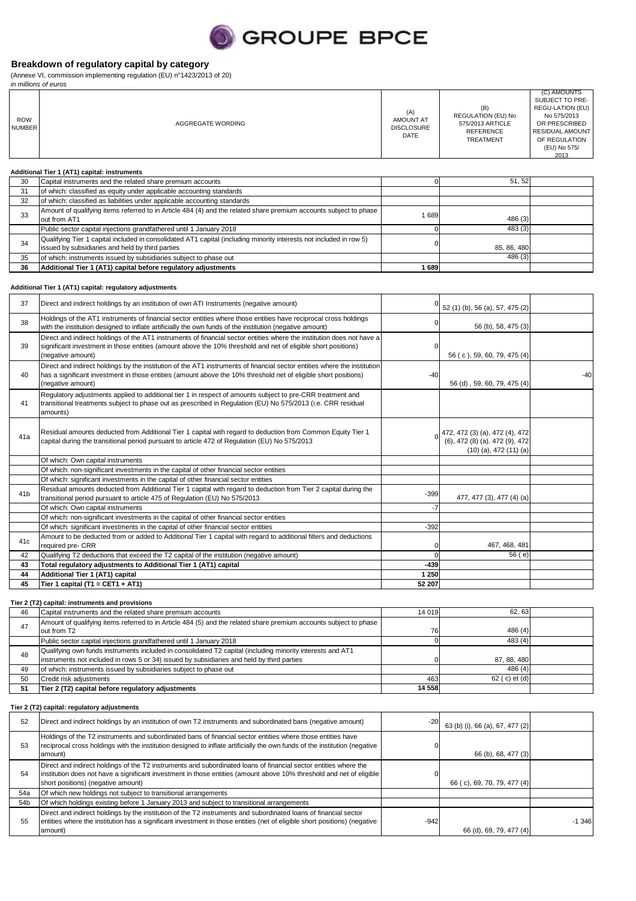

(Annexe VI, commission implementing regulation (EU) n°1423/2013 of 20)

|                             | in millions of euros                                                                                                                                                    |                                                             |                                                                                       |                                                                                                                                                       |  |
|-----------------------------|-------------------------------------------------------------------------------------------------------------------------------------------------------------------------|-------------------------------------------------------------|---------------------------------------------------------------------------------------|-------------------------------------------------------------------------------------------------------------------------------------------------------|--|
| <b>ROW</b><br><b>NUMBER</b> | AGGREGATE WORDING                                                                                                                                                       | (A)<br><b>AMOUNT AT</b><br><b>DISCLOSURE</b><br><b>DATE</b> | (B)<br>REGULATION (EU) No<br>575/2013 ARTICLE<br><b>REFERENCE</b><br><b>TREATMENT</b> | (C) AMOUNTS<br>SUBJECT TO PRE-<br>REGU-LATION (EU)<br>No 575/2013<br>OR PRESCRIBED<br><b>RESIDUAL AMOUNT</b><br>OF REGULATION<br>(EU) No 575/<br>2013 |  |
|                             | Additional Tier 1 (AT1) capital: instruments                                                                                                                            |                                                             |                                                                                       |                                                                                                                                                       |  |
| 30                          | Capital instruments and the related share premium accounts                                                                                                              |                                                             | 51, 52                                                                                |                                                                                                                                                       |  |
| 31                          | of which: classified as equity under applicable accounting standards                                                                                                    |                                                             |                                                                                       |                                                                                                                                                       |  |
| 32                          | of which: classified as liabilities under applicable accounting standards                                                                                               |                                                             |                                                                                       |                                                                                                                                                       |  |
| 33                          | Amount of qualifying items referred to in Article 484 (4) and the related share premium accounts subject to phase<br>out from AT1                                       | 1689                                                        | 486 (3)                                                                               |                                                                                                                                                       |  |
|                             | Public sector capital injections grandfathered until 1 January 2018                                                                                                     |                                                             | 483 (3)                                                                               |                                                                                                                                                       |  |
| 34                          | Qualifying Tier 1 capital included in consolidated AT1 capital (including minority interests not included in row 5)<br>issued by subsidiaries and held by third parties |                                                             | 85, 86, 480                                                                           |                                                                                                                                                       |  |
| 35                          | of which: instruments issued by subsidiaries subject to phase out                                                                                                       |                                                             | 486(3)                                                                                |                                                                                                                                                       |  |
| 36                          | Additional Tier 1 (AT1) capital before regulatory adjustments                                                                                                           | 1689                                                        |                                                                                       |                                                                                                                                                       |  |

#### **Additional Tier 1 (AT1) capital: regulatory adjustments**

| 37              | Direct and indirect holdings by an institution of own ATI Instruments (negative amount)                                                                                                                                                                           |        | 52 (1) (b), 56 (a), 57, 475 (2)                                                                   |       |
|-----------------|-------------------------------------------------------------------------------------------------------------------------------------------------------------------------------------------------------------------------------------------------------------------|--------|---------------------------------------------------------------------------------------------------|-------|
| 38              | Holdings of the AT1 instruments of financial sector entities where those entities have reciprocal cross holdings<br>with the institution designed to inflate artificially the own funds of the institution (negative amount)                                      |        | 56 (b), 58, 475 (3)                                                                               |       |
| 39              | Direct and indirect holdings of the AT1 instruments of financial sector entities where the institution does not have a<br>significant investment in those entities (amount above the 10% threshold and net of eligible short positions)<br>(negative amount)      |        | 56 (c), 59, 60, 79, 475 (4)                                                                       |       |
| 40              | Direct and indirect holdings by the institution of the AT1 instruments of financial sector entities where the institution<br>has a significant investment in those entities (amount above the 10% threshold net of eligible short positions)<br>(negative amount) | $-40$  | 56 (d), 59, 60, 79, 475 (4)                                                                       | $-40$ |
| 41              | Regulatory adjustments applied to additional tier 1 in respect of amounts subject to pre-CRR treatment and<br>transitional treatments subject to phase out as prescribed in Regulation (EU) No 575/2013 (i.e. CRR residual<br>amounts)                            |        |                                                                                                   |       |
| 41a             | Residual amounts deducted from Additional Tier 1 capital with regard to deduction from Common Equity Tier 1<br>capital during the transitional period pursuant to article 472 of Regulation (EU) No 575/2013                                                      |        | $0\binom{472, 472(3)(a), 472(4), 472}{(6), 472(8)(a), 472(9), 472}$<br>$(10)$ (a), 472 $(11)$ (a) |       |
|                 | Of which: Own capital instruments                                                                                                                                                                                                                                 |        |                                                                                                   |       |
|                 | Of which: non-significant investments in the capital of other financial sector entities                                                                                                                                                                           |        |                                                                                                   |       |
|                 | Of which: significant investments in the capital of other financial sector entities                                                                                                                                                                               |        |                                                                                                   |       |
| 41 <sub>b</sub> | Residual amounts deducted from Additional Tier 1 capital with regard to deduction from Tier 2 capital during the<br>transitional period pursuant to article 475 of Regulation (EU) No 575/2013                                                                    | $-399$ | 477, 477 (3), 477 (4) (a)                                                                         |       |
|                 | Of which: Own capital instruments                                                                                                                                                                                                                                 | $-7$   |                                                                                                   |       |
|                 | Of which: non-significant investments in the capital of other financial sector entities                                                                                                                                                                           |        |                                                                                                   |       |
|                 | Of which: significant investments in the capital of other financial sector entities                                                                                                                                                                               | $-392$ |                                                                                                   |       |
| 41c             | Amount to be deducted from or added to Additional Tier 1 capital with regard to additional filters and deductions<br>required pre- CRR                                                                                                                            |        | 467, 468, 481                                                                                     |       |
| 42              | Qualifying T2 deductions that exceed the T2 capital of the institution (negative amount)                                                                                                                                                                          |        | 56(e)                                                                                             |       |
| 43              | Total regulatory adjustments to Additional Tier 1 (AT1) capital                                                                                                                                                                                                   | $-439$ |                                                                                                   |       |
| 44              | Additional Tier 1 (AT1) capital                                                                                                                                                                                                                                   | 1 250  |                                                                                                   |       |
| 45              | Tier 1 capital (T1 = CET1 + AT1)                                                                                                                                                                                                                                  | 52 207 |                                                                                                   |       |

**Tier 2 (T2) capital: instruments and provisions**

| 46  | Capital instruments and the related share premium accounts                                                                                                                                               | 14 019 | 62.63          |  |
|-----|----------------------------------------------------------------------------------------------------------------------------------------------------------------------------------------------------------|--------|----------------|--|
| 47  | Amount of qualifying items referred to in Article 484 (5) and the related share premium accounts subject to phase<br>out from T2                                                                         | 76     | 486(4)         |  |
|     | Public sector capital injections grandfathered until 1 January 2018                                                                                                                                      |        | 483(4)         |  |
| 48  | Qualifying own funds instruments included in consolidated T2 capital (including minority interests and AT1<br>instruments not included in rows 5 or 34) issued by subsidiaries and held by third parties |        | 87, 88, 480    |  |
| 49  | of which: instruments issued by subsidiaries subject to phase out                                                                                                                                        |        | 486(4)         |  |
| 50  | Credit risk adjustments                                                                                                                                                                                  | 463    | 62 ( c) et (d) |  |
| -51 | Tier 2 (T2) capital before regulatory adjustments                                                                                                                                                        | 14 558 |                |  |

### **Tier 2 (T2) capital: regulatory adjustments**

| 52              | Direct and indirect holdings by an institution of own T2 instruments and subordinated bans (negative amount)                                                                                                                                                                    | $-20$  | 63 (b) (i), 66 (a), 67, 477 (2) |          |
|-----------------|---------------------------------------------------------------------------------------------------------------------------------------------------------------------------------------------------------------------------------------------------------------------------------|--------|---------------------------------|----------|
| 53              | Holdings of the T2 instruments and subordinated bans of financial sector entities where those entities have<br>reciprocal cross holdings with the institution designed to inflate artificially the own funds of the institution (negative<br>amount)                            |        | 66 (b), 68, 477 (3)             |          |
| 54              | Direct and indirect holdings of the T2 instruments and subordinated loans of financial sector entities where the<br>institution does not have a significant investment in those entities (amount above 10% threshold and net of eligible)<br>short positions) (negative amount) |        | 66 (c), 69, 70, 79, 477 (4)     |          |
| 54a             | Of which new holdings not subject to transitional arrangements                                                                                                                                                                                                                  |        |                                 |          |
| 54 <sub>b</sub> | Of which holdings existing before 1 January 2013 and subject to transitional arrangements                                                                                                                                                                                       |        |                                 |          |
| 55              | Direct and indirect holdings by the institution of the T2 instruments and subordinated loans of financial sector<br>entities where the institution has a significant investment in those entities (net of eligible short positions) (negative<br>amount)                        | $-942$ | 66 (d), 69, 79, 477 (4)         | $-1.346$ |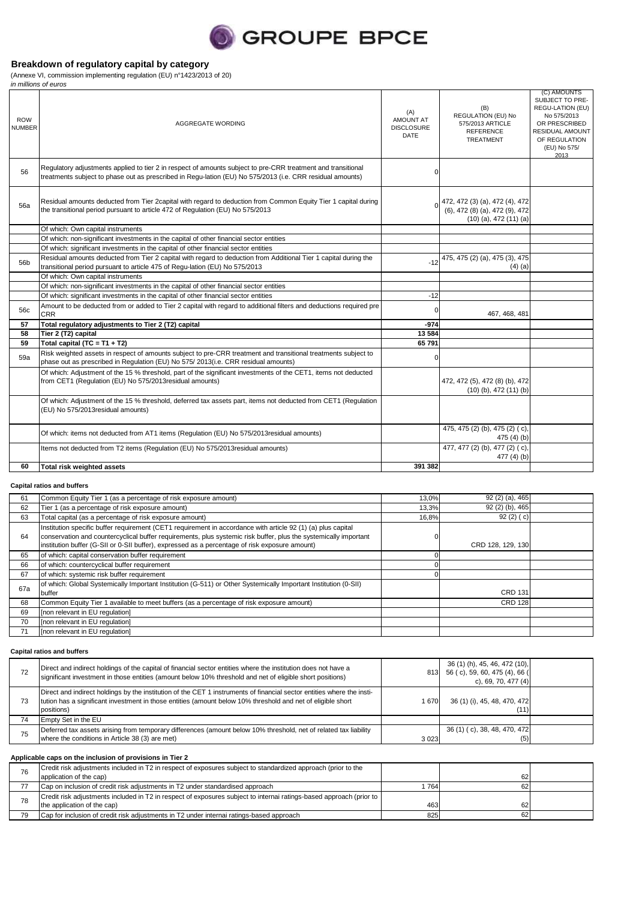

(Annexe VI, commission implementing regulation (EU) n°1423/2013 of 20)

|                             | in millions of euros                                                                                                                                                                                                      |                                                      |                                                                                                |                                                                                                                                                       |
|-----------------------------|---------------------------------------------------------------------------------------------------------------------------------------------------------------------------------------------------------------------------|------------------------------------------------------|------------------------------------------------------------------------------------------------|-------------------------------------------------------------------------------------------------------------------------------------------------------|
| <b>ROW</b><br><b>NUMBER</b> | AGGREGATE WORDING                                                                                                                                                                                                         | (A)<br><b>AMOUNT AT</b><br><b>DISCLOSURE</b><br>DATE | (B)<br>REGULATION (EU) No<br>575/2013 ARTICLE<br><b>REFERENCE</b><br><b>TREATMENT</b>          | (C) AMOUNTS<br>SUBJECT TO PRE-<br>REGU-LATION (EU)<br>No 575/2013<br>OR PRESCRIBED<br><b>RESIDUAL AMOUNT</b><br>OF REGULATION<br>(EU) No 575/<br>2013 |
| 56                          | Requlatory adjustments applied to tier 2 in respect of amounts subject to pre-CRR treatment and transitional<br>treatments subject to phase out as prescribed in Requ-lation (EU) No 575/2013 (i.e. CRR residual amounts) |                                                      |                                                                                                |                                                                                                                                                       |
| 56a                         | Residual amounts deducted from Tier 2capital with regard to deduction from Common Equity Tier 1 capital during<br>the transitional period pursuant to article 472 of Regulation (EU) No 575/2013                          |                                                      | 472, 472 (3) (a), 472 (4), 472<br>(6), 472 (8) (a), 472 (9), 472<br>$(10)$ (a), 472 $(11)$ (a) |                                                                                                                                                       |
|                             | Of which: Own capital instruments                                                                                                                                                                                         |                                                      |                                                                                                |                                                                                                                                                       |
|                             | Of which: non-significant investments in the capital of other financial sector entities                                                                                                                                   |                                                      |                                                                                                |                                                                                                                                                       |
|                             | Of which: significant investments in the capital of other financial sector entities                                                                                                                                       |                                                      |                                                                                                |                                                                                                                                                       |
| 56b                         | Residual amounts deducted from Tier 2 capital with regard to deduction from Additional Tier 1 capital during the<br>transitional period pursuant to article 475 of Regu-lation (EU) No 575/2013                           | $-12$                                                | 475, 475 (2) (a), 475 (3), 475<br>$(4)$ (a)                                                    |                                                                                                                                                       |
|                             | Of which: Own capital instruments                                                                                                                                                                                         |                                                      |                                                                                                |                                                                                                                                                       |
|                             | Of which: non-significant investments in the capital of other financial sector entities                                                                                                                                   |                                                      |                                                                                                |                                                                                                                                                       |
|                             | Of which: significant investments in the capital of other financial sector entities                                                                                                                                       | $-12$                                                |                                                                                                |                                                                                                                                                       |
| 56c                         | Amount to be deducted from or added to Tier 2 capital with regard to additional filters and deductions required pre<br><b>CRR</b>                                                                                         |                                                      | 467, 468, 481                                                                                  |                                                                                                                                                       |
| 57                          | Total regulatory adjustments to Tier 2 (T2) capital                                                                                                                                                                       | $-974$                                               |                                                                                                |                                                                                                                                                       |
| 58                          | Tier 2 (T2) capital                                                                                                                                                                                                       | 13584                                                |                                                                                                |                                                                                                                                                       |
| 59                          | Total capital (TC = $T1 + T2$ )                                                                                                                                                                                           | 65 791                                               |                                                                                                |                                                                                                                                                       |
| 59a                         | Risk weighted assets in respect of amounts subject to pre-CRR treatment and transitional treatments subject to<br>phase out as prescribed in Regulation (EU) No 575/2013(i.e. CRR residual amounts)                       | O                                                    |                                                                                                |                                                                                                                                                       |
|                             | Of which: Adjustment of the 15 % threshold, part of the significant investments of the CET1, items not deducted<br>from CET1 (Requlation (EU) No 575/2013 residual amounts)                                               |                                                      | 472, 472 (5), 472 (8) (b), 472<br>$(10)$ (b), 472 $(11)$ (b)                                   |                                                                                                                                                       |
|                             | Of which: Adjustment of the 15 % threshold, deferred tax assets part, items not deducted from CET1 (Regulation<br>(EU) No 575/2013residual amounts)                                                                       |                                                      |                                                                                                |                                                                                                                                                       |
|                             | Of which: items not deducted from AT1 items (Regulation (EU) No 575/2013 residual amounts)                                                                                                                                |                                                      | 475, 475 (2) (b), 475 (2) (c),<br>475 $(4)$ $(b)$                                              |                                                                                                                                                       |
|                             | Items not deducted from T2 items (Regulation (EU) No 575/2013 residual amounts)                                                                                                                                           |                                                      | 477, 477 (2) (b), 477 (2) (c),<br>477 (4) (b)                                                  |                                                                                                                                                       |
| 60                          | Total risk weighted assets                                                                                                                                                                                                | 391 382                                              |                                                                                                |                                                                                                                                                       |

#### **Capital ratios and buffers**

| 61  | Common Equity Tier 1 (as a percentage of risk exposure amount)                                                                                                                                                                                                                                                                     | 13,0% | 92 (2) (a), 465   |  |
|-----|------------------------------------------------------------------------------------------------------------------------------------------------------------------------------------------------------------------------------------------------------------------------------------------------------------------------------------|-------|-------------------|--|
| 62  | Tier 1 (as a percentage of risk exposure amount)                                                                                                                                                                                                                                                                                   | 13,3% | 92 (2) (b), 465   |  |
| 63  | Total capital (as a percentage of risk exposure amount)                                                                                                                                                                                                                                                                            | 16,8% | 92 $(2)$ $(c)$    |  |
| 64  | Institution specific buffer requirement (CET1 requirement in accordance with article 92 (1) (a) plus capital<br>conservation and countercyclical buffer requirements, plus systemic risk buffer, plus the systemically important<br>institution buffer (G-SII or 0-SII buffer), expressed as a percentage of risk exposure amount) |       | CRD 128, 129, 130 |  |
| 65  | of which: capital conservation buffer requirement                                                                                                                                                                                                                                                                                  |       |                   |  |
| 66  | of which: countercyclical buffer requirement                                                                                                                                                                                                                                                                                       |       |                   |  |
| 67  | of which: systemic risk buffer requirement                                                                                                                                                                                                                                                                                         |       |                   |  |
| 67a | of which: Global Systemically Important Institution (G-511) or Other Systemically Important Institution (0-SII)<br>buffer                                                                                                                                                                                                          |       | <b>CRD 131</b>    |  |
| 68  | Common Equity Tier 1 available to meet buffers (as a percentage of risk exposure amount)                                                                                                                                                                                                                                           |       | <b>CRD 128</b>    |  |
| 69  | [non relevant in EU regulation]                                                                                                                                                                                                                                                                                                    |       |                   |  |
| 70  | [non relevant in EU regulation]                                                                                                                                                                                                                                                                                                    |       |                   |  |
| 71  | [non relevant in EU regulation]                                                                                                                                                                                                                                                                                                    |       |                   |  |

#### **Capital ratios and buffers**

| 72 | Direct and indirect holdings of the capital of financial sector entities where the institution does not have a<br>significant investment in those entities (amount below 10% threshold and net of eligible short positions)                         |      | 36 (1) (h), 45, 46, 472 (10),<br>813 56 (c), 59, 60, 475 (4), 66 (<br>c), 69, 70, 477 $(4)$ |  |
|----|-----------------------------------------------------------------------------------------------------------------------------------------------------------------------------------------------------------------------------------------------------|------|---------------------------------------------------------------------------------------------|--|
| 73 | Direct and indirect holdings by the institution of the CET 1 instruments of financial sector entities where the insti-<br>tution has a significant investment in those entities (amount below 10% threshold and net of eligible short<br>positions) | 1670 | 36 (1) (i), 45, 48, 470, 472<br>(11)                                                        |  |
|    | Empty Set in the EU                                                                                                                                                                                                                                 |      |                                                                                             |  |
| 75 | Deferred tax assets arising from temporary differences (amount below 10% threshold, net of related tax liability<br>where the conditions in Article 38 (3) are met)                                                                                 | 3023 | 36 (1) (c), 38, 48, 470, 472<br>(5)                                                         |  |

#### **Applicable caps on the inclusion of provisions in Tier 2**

| 76 | Credit risk adjustments included in T2 in respect of exposures subject to standardized approach (prior to the<br>application of the cap) |     | 62              |  |
|----|------------------------------------------------------------------------------------------------------------------------------------------|-----|-----------------|--|
| 77 | Cap on inclusion of credit risk adjustments in T2 under standardised approach                                                            | 764 | 62              |  |
|    | Credit risk adjustments included in T2 in respect of exposures subject to internai ratings-based approach (prior to                      |     |                 |  |
| 78 | the application of the cap)                                                                                                              | 463 | 62              |  |
| 79 | Cap for inclusion of credit risk adjustments in T2 under internal ratings-based approach                                                 | 825 | 62 <sup>1</sup> |  |